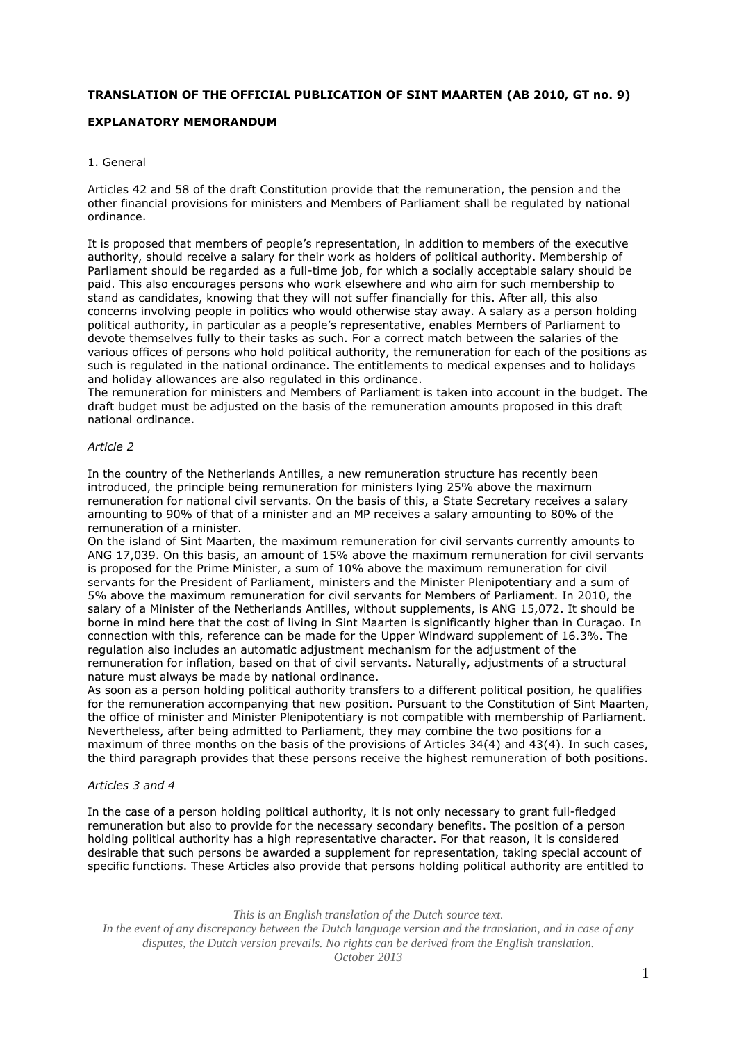# **TRANSLATION OF THE OFFICIAL PUBLICATION OF SINT MAARTEN (AB 2010, GT no. 9)**

# **EXPLANATORY MEMORANDUM**

#### 1. General

Articles 42 and 58 of the draft Constitution provide that the remuneration, the pension and the other financial provisions for ministers and Members of Parliament shall be regulated by national ordinance.

It is proposed that members of people's representation, in addition to members of the executive authority, should receive a salary for their work as holders of political authority. Membership of Parliament should be regarded as a full-time job, for which a socially acceptable salary should be paid. This also encourages persons who work elsewhere and who aim for such membership to stand as candidates, knowing that they will not suffer financially for this. After all, this also concerns involving people in politics who would otherwise stay away. A salary as a person holding political authority, in particular as a people's representative, enables Members of Parliament to devote themselves fully to their tasks as such. For a correct match between the salaries of the various offices of persons who hold political authority, the remuneration for each of the positions as such is regulated in the national ordinance. The entitlements to medical expenses and to holidays and holiday allowances are also regulated in this ordinance.

The remuneration for ministers and Members of Parliament is taken into account in the budget. The draft budget must be adjusted on the basis of the remuneration amounts proposed in this draft national ordinance.

#### *Article 2*

In the country of the Netherlands Antilles, a new remuneration structure has recently been introduced, the principle being remuneration for ministers lying 25% above the maximum remuneration for national civil servants. On the basis of this, a State Secretary receives a salary amounting to 90% of that of a minister and an MP receives a salary amounting to 80% of the remuneration of a minister.

On the island of Sint Maarten, the maximum remuneration for civil servants currently amounts to ANG 17,039. On this basis, an amount of 15% above the maximum remuneration for civil servants is proposed for the Prime Minister, a sum of 10% above the maximum remuneration for civil servants for the President of Parliament, ministers and the Minister Plenipotentiary and a sum of 5% above the maximum remuneration for civil servants for Members of Parliament. In 2010, the salary of a Minister of the Netherlands Antilles, without supplements, is ANG 15,072. It should be borne in mind here that the cost of living in Sint Maarten is significantly higher than in Curaçao. In connection with this, reference can be made for the Upper Windward supplement of 16.3%. The regulation also includes an automatic adjustment mechanism for the adjustment of the remuneration for inflation, based on that of civil servants. Naturally, adjustments of a structural nature must always be made by national ordinance.

As soon as a person holding political authority transfers to a different political position, he qualifies for the remuneration accompanying that new position. Pursuant to the Constitution of Sint Maarten, the office of minister and Minister Plenipotentiary is not compatible with membership of Parliament. Nevertheless, after being admitted to Parliament, they may combine the two positions for a maximum of three months on the basis of the provisions of Articles 34(4) and 43(4). In such cases, the third paragraph provides that these persons receive the highest remuneration of both positions.

### *Articles 3 and 4*

In the case of a person holding political authority, it is not only necessary to grant full-fledged remuneration but also to provide for the necessary secondary benefits. The position of a person holding political authority has a high representative character. For that reason, it is considered desirable that such persons be awarded a supplement for representation, taking special account of specific functions. These Articles also provide that persons holding political authority are entitled to

*This is an English translation of the Dutch source text. In the event of any discrepancy between the Dutch language version and the translation, and in case of any disputes, the Dutch version prevails. No rights can be derived from the English translation. October 2013*